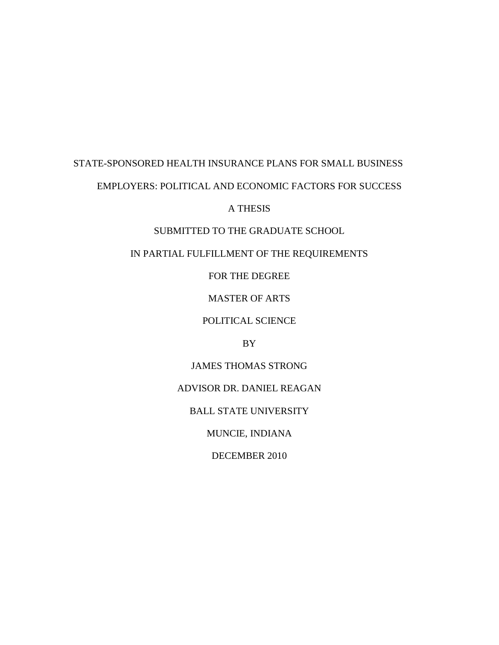# STATE-SPONSORED HEALTH INSURANCE PLANS FOR SMALL BUSINESS EMPLOYERS: POLITICAL AND ECONOMIC FACTORS FOR SUCCESS

## A THESIS

## SUBMITTED TO THE GRADUATE SCHOOL

## IN PARTIAL FULFILLMENT OF THE REQUIREMENTS

## FOR THE DEGREE

## MASTER OF ARTS

## POLITICAL SCIENCE

## BY

## JAMES THOMAS STRONG

## ADVISOR DR. DANIEL REAGAN

## BALL STATE UNIVERSITY

## MUNCIE, INDIANA

## DECEMBER 2010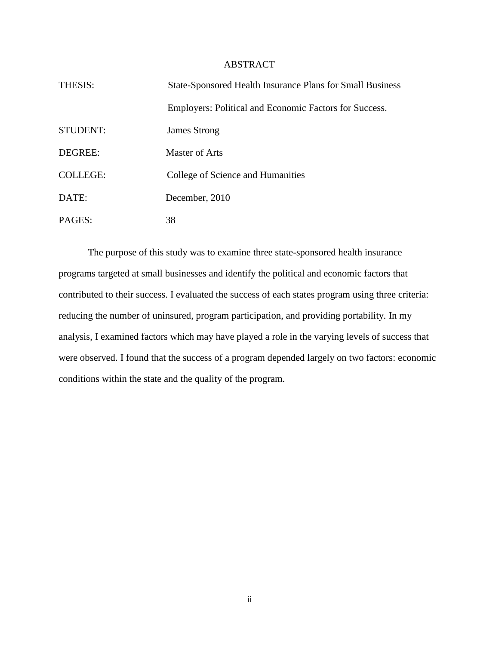## ABSTRACT

| THESIS:         | <b>State-Sponsored Health Insurance Plans for Small Business</b> |
|-----------------|------------------------------------------------------------------|
|                 | Employers: Political and Economic Factors for Success.           |
| <b>STUDENT:</b> | <b>James Strong</b>                                              |
| DEGREE:         | Master of Arts                                                   |
| <b>COLLEGE:</b> | College of Science and Humanities                                |
| DATE:           | December, 2010                                                   |
| PAGES:          | 38                                                               |

The purpose of this study was to examine three state-sponsored health insurance programs targeted at small businesses and identify the political and economic factors that contributed to their success. I evaluated the success of each states program using three criteria: reducing the number of uninsured, program participation, and providing portability. In my analysis, I examined factors which may have played a role in the varying levels of success that were observed. I found that the success of a program depended largely on two factors: economic conditions within the state and the quality of the program.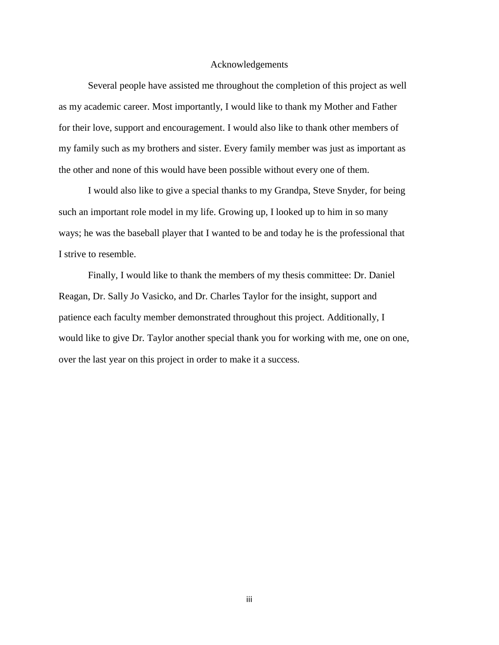#### Acknowledgements

Several people have assisted me throughout the completion of this project as well as my academic career. Most importantly, I would like to thank my Mother and Father for their love, support and encouragement. I would also like to thank other members of my family such as my brothers and sister. Every family member was just as important as the other and none of this would have been possible without every one of them.

I would also like to give a special thanks to my Grandpa, Steve Snyder, for being such an important role model in my life. Growing up, I looked up to him in so many ways; he was the baseball player that I wanted to be and today he is the professional that I strive to resemble.

Finally, I would like to thank the members of my thesis committee: Dr. Daniel Reagan, Dr. Sally Jo Vasicko, and Dr. Charles Taylor for the insight, support and patience each faculty member demonstrated throughout this project. Additionally, I would like to give Dr. Taylor another special thank you for working with me, one on one, over the last year on this project in order to make it a success.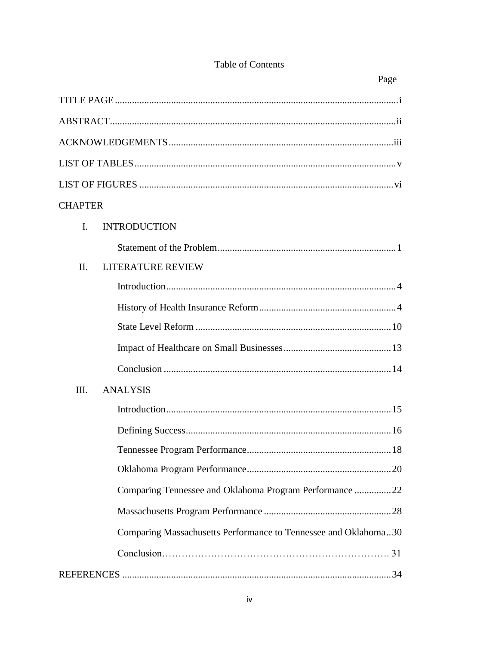|                | Page                                                            |
|----------------|-----------------------------------------------------------------|
|                |                                                                 |
|                |                                                                 |
|                |                                                                 |
|                |                                                                 |
|                |                                                                 |
| <b>CHAPTER</b> |                                                                 |
| I.             | <b>INTRODUCTION</b>                                             |
|                |                                                                 |
| II.            | <b>LITERATURE REVIEW</b>                                        |
|                |                                                                 |
|                |                                                                 |
|                |                                                                 |
|                |                                                                 |
|                |                                                                 |
| III.           | <b>ANALYSIS</b>                                                 |
|                |                                                                 |
|                |                                                                 |
|                |                                                                 |
|                |                                                                 |
|                | Comparing Tennessee and Oklahoma Program Performance 22         |
|                |                                                                 |
|                | Comparing Massachusetts Performance to Tennessee and Oklahoma30 |
|                |                                                                 |
|                |                                                                 |

## Table of Contents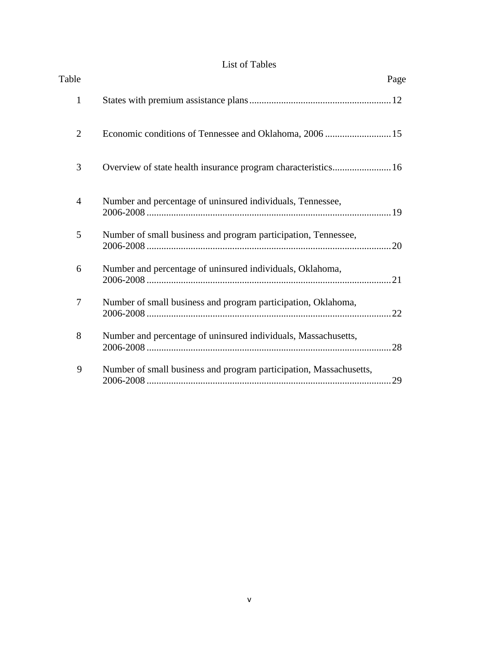## List of Tables

| Table          |                                                                    | Page |
|----------------|--------------------------------------------------------------------|------|
| $\mathbf{1}$   |                                                                    |      |
| $\overline{2}$ | Economic conditions of Tennessee and Oklahoma, 2006  15            |      |
| 3              | Overview of state health insurance program characteristics 16      |      |
| 4              | Number and percentage of uninsured individuals, Tennessee,         |      |
| 5              | Number of small business and program participation, Tennessee,     |      |
| 6              | Number and percentage of uninsured individuals, Oklahoma,          |      |
| 7              | Number of small business and program participation, Oklahoma,      |      |
| 8              | Number and percentage of uninsured individuals, Massachusetts,     |      |
| 9              | Number of small business and program participation, Massachusetts, |      |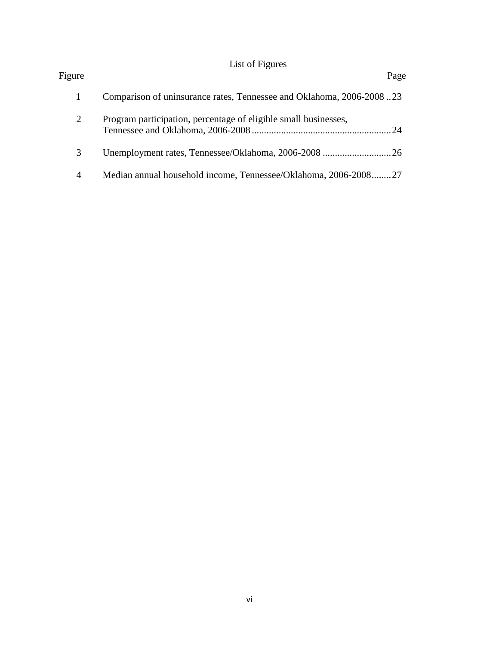## List of Figures

| Figure |                                                                      | Page |
|--------|----------------------------------------------------------------------|------|
|        | Comparison of uninsurance rates, Tennessee and Oklahoma, 2006-200823 |      |
| 2      | Program participation, percentage of eligible small businesses,      |      |
| 3      |                                                                      |      |
|        | Median annual household income, Tennessee/Oklahoma, 2006-200827      |      |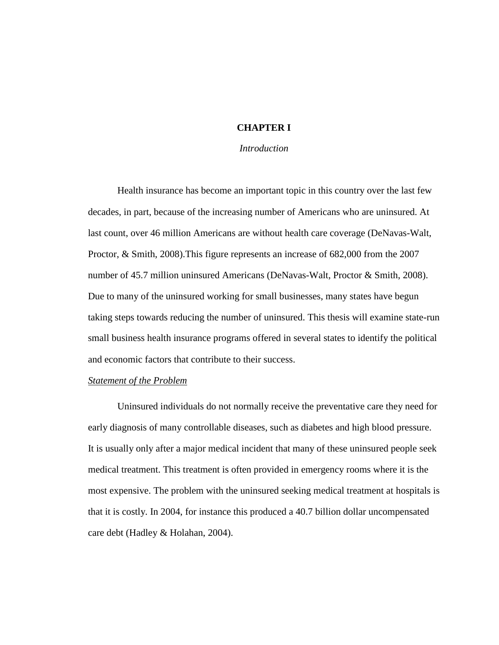## **CHAPTER I**

## *Introduction*

Health insurance has become an important topic in this country over the last few decades, in part, because of the increasing number of Americans who are uninsured. At last count, over 46 million Americans are without health care coverage (DeNavas-Walt, Proctor, & Smith, 2008).This figure represents an increase of 682,000 from the 2007 number of 45.7 million uninsured Americans (DeNavas-Walt, Proctor & Smith, 2008). Due to many of the uninsured working for small businesses, many states have begun taking steps towards reducing the number of uninsured. This thesis will examine state-run small business health insurance programs offered in several states to identify the political and economic factors that contribute to their success.

## *Statement of the Problem*

 Uninsured individuals do not normally receive the preventative care they need for early diagnosis of many controllable diseases, such as diabetes and high blood pressure. It is usually only after a major medical incident that many of these uninsured people seek medical treatment. This treatment is often provided in emergency rooms where it is the most expensive. The problem with the uninsured seeking medical treatment at hospitals is that it is costly. In 2004, for instance this produced a 40.7 billion dollar uncompensated care debt (Hadley & Holahan, 2004).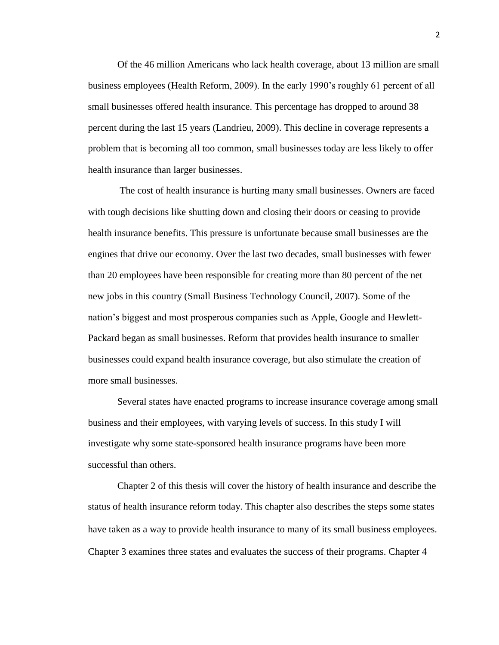Of the 46 million Americans who lack health coverage, about 13 million are small business employees (Health Reform, 2009). In the early 1990's roughly 61 percent of all small businesses offered health insurance. This percentage has dropped to around 38 percent during the last 15 years (Landrieu, 2009). This decline in coverage represents a problem that is becoming all too common, small businesses today are less likely to offer health insurance than larger businesses.

The cost of health insurance is hurting many small businesses. Owners are faced with tough decisions like shutting down and closing their doors or ceasing to provide health insurance benefits. This pressure is unfortunate because small businesses are the engines that drive our economy. Over the last two decades, small businesses with fewer than 20 employees have been responsible for creating more than 80 percent of the net new jobs in this country (Small Business Technology Council, 2007). Some of the nation's biggest and most prosperous companies such as Apple, Google and Hewlett-Packard began as small businesses. Reform that provides health insurance to smaller businesses could expand health insurance coverage, but also stimulate the creation of more small businesses.

Several states have enacted programs to increase insurance coverage among small business and their employees, with varying levels of success. In this study I will investigate why some state-sponsored health insurance programs have been more successful than others.

Chapter 2 of this thesis will cover the history of health insurance and describe the status of health insurance reform today. This chapter also describes the steps some states have taken as a way to provide health insurance to many of its small business employees. Chapter 3 examines three states and evaluates the success of their programs. Chapter 4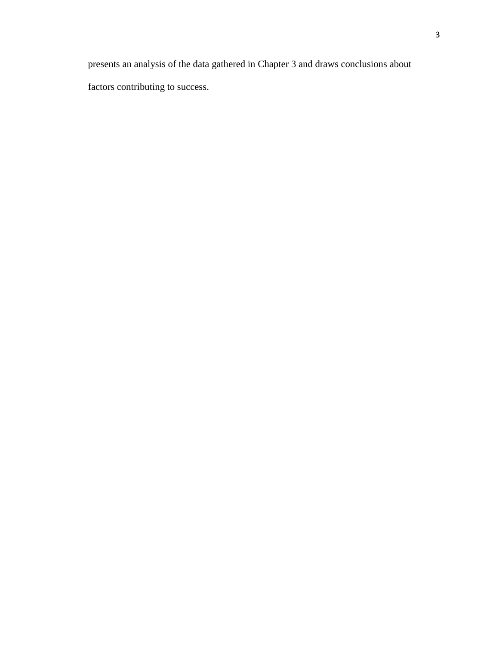presents an analysis of the data gathered in Chapter 3 and draws conclusions about

factors contributing to success.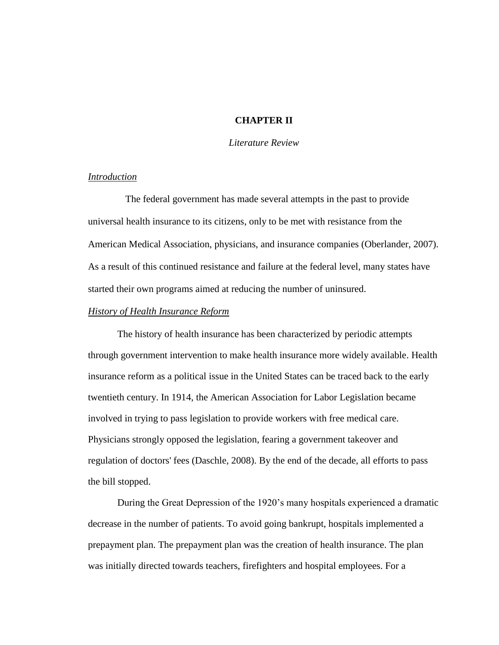## **CHAPTER II**

## *Literature Review*

## *Introduction*

The federal government has made several attempts in the past to provide universal health insurance to its citizens, only to be met with resistance from the American Medical Association, physicians, and insurance companies (Oberlander, 2007). As a result of this continued resistance and failure at the federal level, many states have started their own programs aimed at reducing the number of uninsured.

## *History of Health Insurance Reform*

The history of health insurance has been characterized by periodic attempts through government intervention to make health insurance more widely available. Health insurance reform as a political issue in the United States can be traced back to the early twentieth century. In 1914, the American Association for Labor Legislation became involved in trying to pass legislation to provide workers with free medical care. Physicians strongly opposed the legislation, fearing a government takeover and regulation of doctors' fees (Daschle, 2008). By the end of the decade, all efforts to pass the bill stopped.

During the Great Depression of the 1920's many hospitals experienced a dramatic decrease in the number of patients. To avoid going bankrupt, hospitals implemented a prepayment plan. The prepayment plan was the creation of health insurance. The plan was initially directed towards teachers, firefighters and hospital employees. For a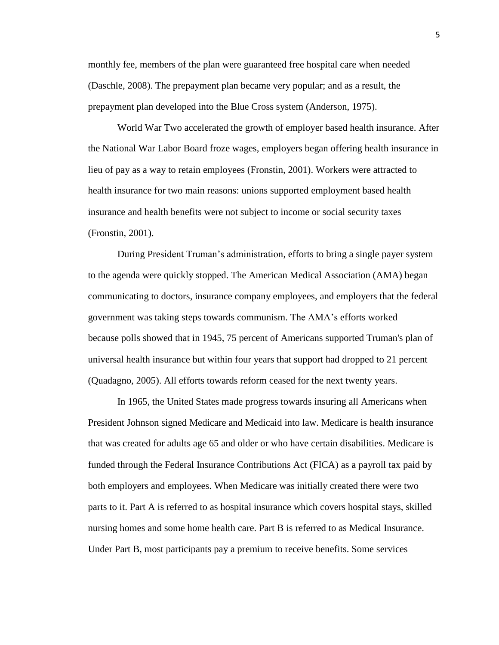monthly fee, members of the plan were guaranteed free hospital care when needed (Daschle, 2008). The prepayment plan became very popular; and as a result, the prepayment plan developed into the Blue Cross system (Anderson, 1975).

World War Two accelerated the growth of employer based health insurance. After the National War Labor Board froze wages, employers began offering health insurance in lieu of pay as a way to retain employees (Fronstin, 2001). Workers were attracted to health insurance for two main reasons: unions supported employment based health insurance and health benefits were not subject to income or social security taxes (Fronstin, 2001).

During President Truman's administration, efforts to bring a single payer system to the agenda were quickly stopped. The American Medical Association (AMA) began communicating to doctors, insurance company employees, and employers that the federal government was taking steps towards communism. The AMA's efforts worked because polls showed that in 1945, 75 percent of Americans supported Truman's plan of universal health insurance but within four years that support had dropped to 21 percent (Quadagno, 2005). All efforts towards reform ceased for the next twenty years.

In 1965, the United States made progress towards insuring all Americans when President Johnson signed Medicare and Medicaid into law. Medicare is health insurance that was created for adults age 65 and older or who have certain disabilities. Medicare is funded through the Federal Insurance Contributions Act (FICA) as a payroll tax paid by both employers and employees. When Medicare was initially created there were two parts to it. Part A is referred to as hospital insurance which covers hospital stays, skilled nursing homes and some home health care. Part B is referred to as Medical Insurance. Under Part B, most participants pay a premium to receive benefits. Some services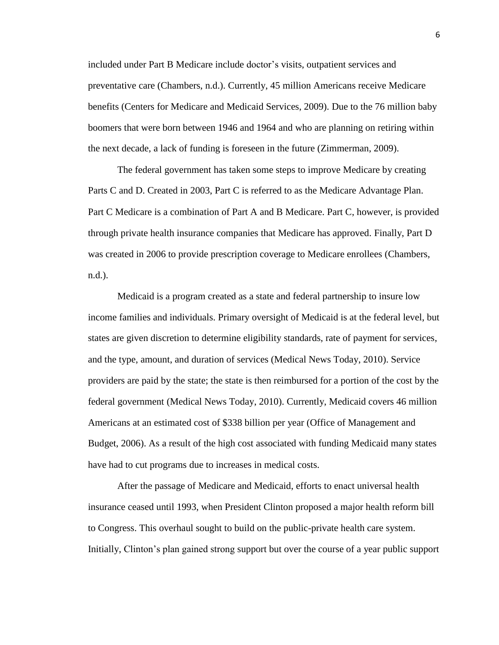included under Part B Medicare include doctor's visits, outpatient services and preventative care (Chambers, n.d.). Currently, 45 million Americans receive Medicare benefits (Centers for Medicare and Medicaid Services, 2009). Due to the 76 million baby boomers that were born between 1946 and 1964 and who are planning on retiring within the next decade, a lack of funding is foreseen in the future (Zimmerman, 2009).

The federal government has taken some steps to improve Medicare by creating Parts C and D. Created in 2003, Part C is referred to as the Medicare Advantage Plan. Part C Medicare is a combination of Part A and B Medicare. Part C, however, is provided through private health insurance companies that Medicare has approved. Finally, Part D was created in 2006 to provide prescription coverage to Medicare enrollees (Chambers, n.d.).

Medicaid is a program created as a state and federal partnership to insure low income families and individuals. Primary oversight of Medicaid is at the federal level, but states are given discretion to determine eligibility standards, rate of payment for services, and the type, amount, and duration of services (Medical News Today, 2010). Service providers are paid by the state; the state is then reimbursed for a portion of the cost by the federal government (Medical News Today, 2010). Currently, Medicaid covers 46 million Americans at an estimated cost of \$338 billion per year (Office of Management and Budget, 2006). As a result of the high cost associated with funding Medicaid many states have had to cut programs due to increases in medical costs.

After the passage of Medicare and Medicaid, efforts to enact universal health insurance ceased until 1993, when President Clinton proposed a major health reform bill to Congress. This overhaul sought to build on the public-private health care system. Initially, Clinton's plan gained strong support but over the course of a year public support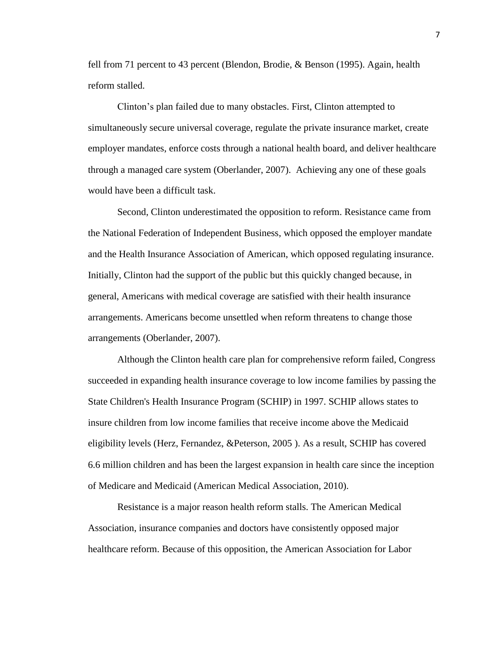fell from 71 percent to 43 percent (Blendon, Brodie, & Benson (1995). Again, health reform stalled.

Clinton's plan failed due to many obstacles. First, Clinton attempted to simultaneously secure universal coverage, regulate the private insurance market, create employer mandates, enforce costs through a national health board, and deliver healthcare through a managed care system (Oberlander, 2007). Achieving any one of these goals would have been a difficult task.

Second, Clinton underestimated the opposition to reform. Resistance came from the National Federation of Independent Business, which opposed the employer mandate and the Health Insurance Association of American, which opposed regulating insurance. Initially, Clinton had the support of the public but this quickly changed because, in general, Americans with medical coverage are satisfied with their health insurance arrangements. Americans become unsettled when reform threatens to change those arrangements (Oberlander, 2007).

Although the Clinton health care plan for comprehensive reform failed, Congress succeeded in expanding health insurance coverage to low income families by passing the State Children's Health Insurance Program (SCHIP) in 1997. SCHIP allows states to insure children from low income families that receive income above the Medicaid eligibility levels (Herz, Fernandez, &Peterson, 2005 ). As a result, SCHIP has covered 6.6 million children and has been the largest expansion in health care since the inception of Medicare and Medicaid (American Medical Association, 2010).

Resistance is a major reason health reform stalls. The American Medical Association, insurance companies and doctors have consistently opposed major healthcare reform. Because of this opposition, the American Association for Labor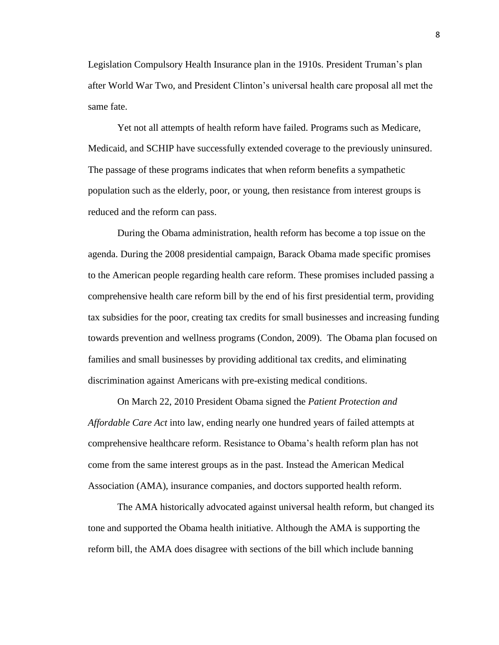Legislation Compulsory Health Insurance plan in the 1910s. President Truman's plan after World War Two, and President Clinton's universal health care proposal all met the same fate.

Yet not all attempts of health reform have failed. Programs such as Medicare, Medicaid, and SCHIP have successfully extended coverage to the previously uninsured. The passage of these programs indicates that when reform benefits a sympathetic population such as the elderly, poor, or young, then resistance from interest groups is reduced and the reform can pass.

During the Obama administration, health reform has become a top issue on the agenda. During the 2008 presidential campaign, Barack Obama made specific promises to the American people regarding health care reform. These promises included passing a comprehensive health care reform bill by the end of his first presidential term, providing tax subsidies for the poor, creating tax credits for small businesses and increasing funding towards prevention and wellness programs (Condon, 2009). The Obama plan focused on families and small businesses by providing additional tax credits, and eliminating discrimination against Americans with pre-existing medical conditions.

On March 22, 2010 President Obama signed the *Patient Protection and Affordable Care Act* into law, ending nearly one hundred years of failed attempts at comprehensive healthcare reform. Resistance to Obama's health reform plan has not come from the same interest groups as in the past. Instead the American Medical Association (AMA), insurance companies, and doctors supported health reform.

The AMA historically advocated against universal health reform, but changed its tone and supported the Obama health initiative. Although the AMA is supporting the reform bill, the AMA does disagree with sections of the bill which include banning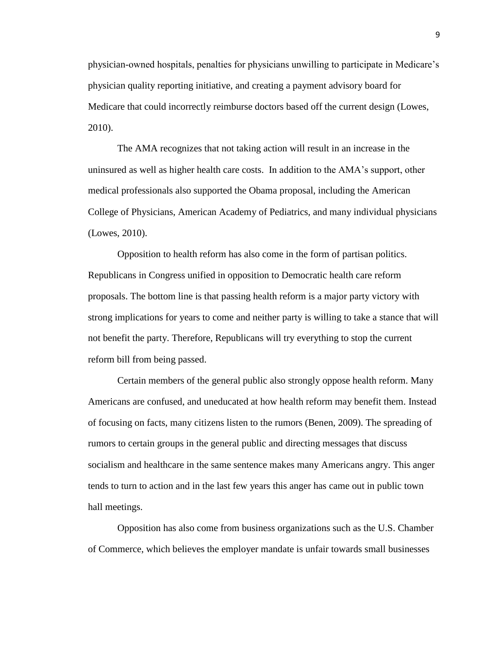physician-owned hospitals, penalties for physicians unwilling to participate in Medicare's physician quality reporting initiative, and creating a payment advisory board for Medicare that could incorrectly reimburse doctors based off the current design (Lowes, 2010).

The AMA recognizes that not taking action will result in an increase in the uninsured as well as higher health care costs. In addition to the AMA's support, other medical professionals also supported the Obama proposal, including the American College of Physicians, American Academy of Pediatrics, and many individual physicians (Lowes, 2010).

Opposition to health reform has also come in the form of partisan politics. Republicans in Congress unified in opposition to Democratic health care reform proposals. The bottom line is that passing health reform is a major party victory with strong implications for years to come and neither party is willing to take a stance that will not benefit the party. Therefore, Republicans will try everything to stop the current reform bill from being passed.

Certain members of the general public also strongly oppose health reform. Many Americans are confused, and uneducated at how health reform may benefit them. Instead of focusing on facts, many citizens listen to the rumors (Benen, 2009). The spreading of rumors to certain groups in the general public and directing messages that discuss socialism and healthcare in the same sentence makes many Americans angry. This anger tends to turn to action and in the last few years this anger has came out in public town hall meetings.

Opposition has also come from business organizations such as the U.S. Chamber of Commerce, which believes the employer mandate is unfair towards small businesses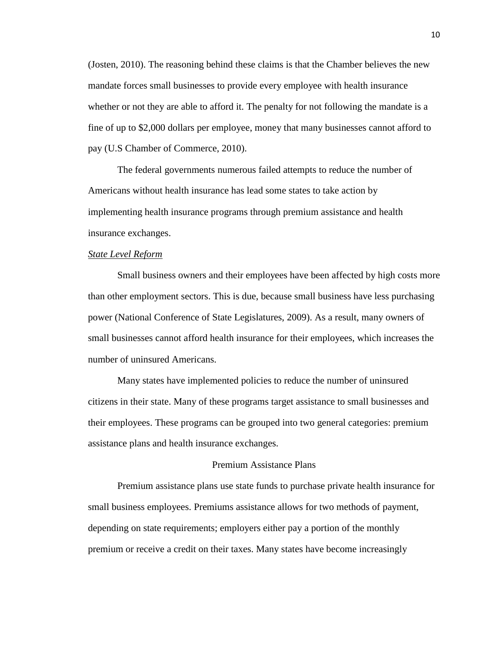(Josten, 2010). The reasoning behind these claims is that the Chamber believes the new mandate forces small businesses to provide every employee with health insurance whether or not they are able to afford it. The penalty for not following the mandate is a fine of up to \$2,000 dollars per employee, money that many businesses cannot afford to pay (U.S Chamber of Commerce, 2010).

The federal governments numerous failed attempts to reduce the number of Americans without health insurance has lead some states to take action by implementing health insurance programs through premium assistance and health insurance exchanges.

#### *State Level Reform*

Small business owners and their employees have been affected by high costs more than other employment sectors. This is due, because small business have less purchasing power (National Conference of State Legislatures, 2009). As a result, many owners of small businesses cannot afford health insurance for their employees, which increases the number of uninsured Americans.

Many states have implemented policies to reduce the number of uninsured citizens in their state. Many of these programs target assistance to small businesses and their employees. These programs can be grouped into two general categories: premium assistance plans and health insurance exchanges.

#### Premium Assistance Plans

Premium assistance plans use state funds to purchase private health insurance for small business employees. Premiums assistance allows for two methods of payment, depending on state requirements; employers either pay a portion of the monthly premium or receive a credit on their taxes. Many states have become increasingly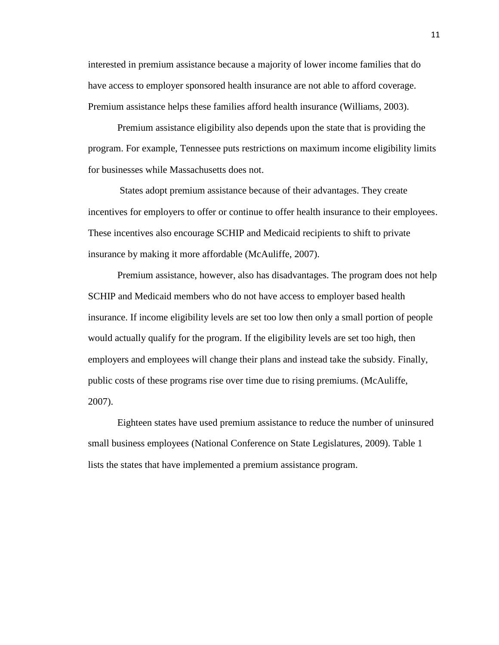interested in premium assistance because a majority of lower income families that do have access to employer sponsored health insurance are not able to afford coverage. Premium assistance helps these families afford health insurance (Williams, 2003).

Premium assistance eligibility also depends upon the state that is providing the program. For example, Tennessee puts restrictions on maximum income eligibility limits for businesses while Massachusetts does not.

States adopt premium assistance because of their advantages. They create incentives for employers to offer or continue to offer health insurance to their employees. These incentives also encourage SCHIP and Medicaid recipients to shift to private insurance by making it more affordable (McAuliffe, 2007).

Premium assistance, however, also has disadvantages. The program does not help SCHIP and Medicaid members who do not have access to employer based health insurance. If income eligibility levels are set too low then only a small portion of people would actually qualify for the program. If the eligibility levels are set too high, then employers and employees will change their plans and instead take the subsidy. Finally, public costs of these programs rise over time due to rising premiums. (McAuliffe, 2007).

Eighteen states have used premium assistance to reduce the number of uninsured small business employees (National Conference on State Legislatures, 2009). Table 1 lists the states that have implemented a premium assistance program.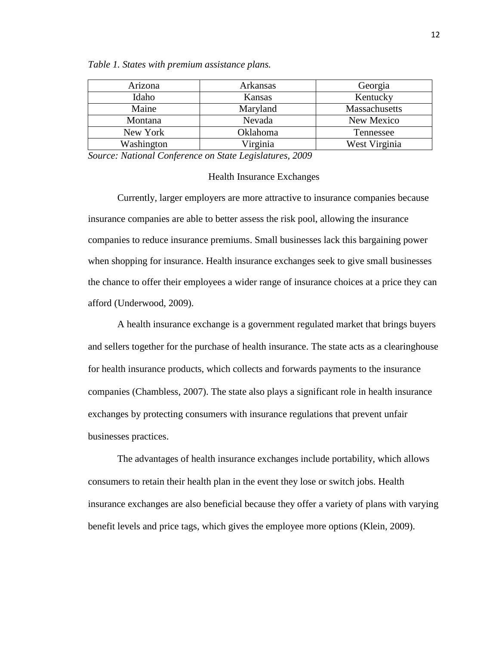| Arizona    | Arkansas | Georgia       |
|------------|----------|---------------|
| Idaho      | Kansas   | Kentucky      |
| Maine      | Maryland | Massachusetts |
| Montana    | Nevada   | New Mexico    |
| New York   | Oklahoma | Tennessee     |
| Washington | Virginia | West Virginia |

*Table 1. States with premium assistance plans.*

*Source: National Conference on State Legislatures, 2009*

## Health Insurance Exchanges

Currently, larger employers are more attractive to insurance companies because insurance companies are able to better assess the risk pool, allowing the insurance companies to reduce insurance premiums. Small businesses lack this bargaining power when shopping for insurance. Health insurance exchanges seek to give small businesses the chance to offer their employees a wider range of insurance choices at a price they can afford (Underwood, 2009).

A health insurance exchange is a government regulated market that brings buyers and sellers together for the purchase of health insurance. The state acts as a clearinghouse for health insurance products, which collects and forwards payments to the insurance companies (Chambless, 2007). The state also plays a significant role in health insurance exchanges by protecting consumers with insurance regulations that prevent unfair businesses practices.

The advantages of health insurance exchanges include portability, which allows consumers to retain their health plan in the event they lose or switch jobs. Health insurance exchanges are also beneficial because they offer a variety of plans with varying benefit levels and price tags, which gives the employee more options (Klein, 2009).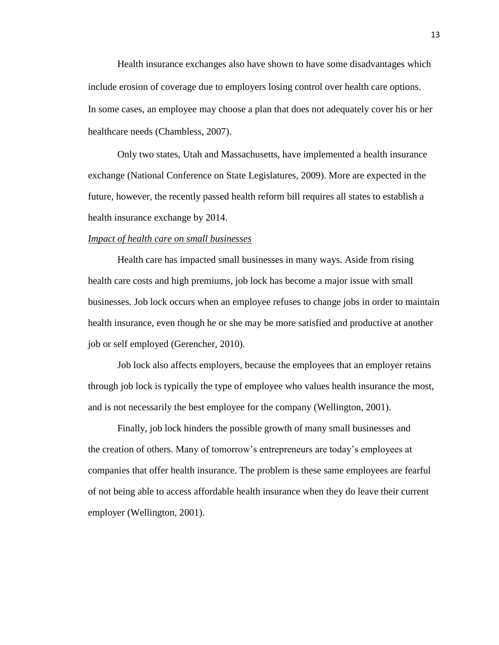Health insurance exchanges also have shown to have some disadvantages which include erosion of coverage due to employers losing control over health care options. In some cases, an employee may choose a plan that does not adequately cover his or her healthcare needs (Chambless, 2007).

Only two states, Utah and Massachusetts, have implemented a health insurance exchange (National Conference on State Legislatures, 2009). More are expected in the future, however, the recently passed health reform bill requires all states to establish a health insurance exchange by 2014.

## *Impact of health care on small businesses*

Health care has impacted small businesses in many ways. Aside from rising health care costs and high premiums, job lock has become a major issue with small businesses. Job lock occurs when an employee refuses to change jobs in order to maintain health insurance, even though he or she may be more satisfied and productive at another job or self employed (Gerencher, 2010).

Job lock also affects employers, because the employees that an employer retains through job lock is typically the type of employee who values health insurance the most, and is not necessarily the best employee for the company (Wellington, 2001).

Finally, job lock hinders the possible growth of many small businesses and the creation of others. Many of tomorrow's entrepreneurs are today's employees at companies that offer health insurance. The problem is these same employees are fearful of not being able to access affordable health insurance when they do leave their current employer (Wellington, 2001).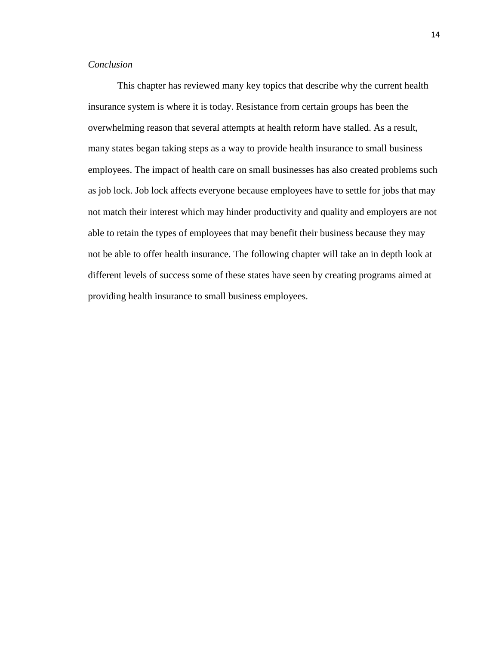## *Conclusion*

This chapter has reviewed many key topics that describe why the current health insurance system is where it is today. Resistance from certain groups has been the overwhelming reason that several attempts at health reform have stalled. As a result, many states began taking steps as a way to provide health insurance to small business employees. The impact of health care on small businesses has also created problems such as job lock. Job lock affects everyone because employees have to settle for jobs that may not match their interest which may hinder productivity and quality and employers are not able to retain the types of employees that may benefit their business because they may not be able to offer health insurance. The following chapter will take an in depth look at different levels of success some of these states have seen by creating programs aimed at providing health insurance to small business employees.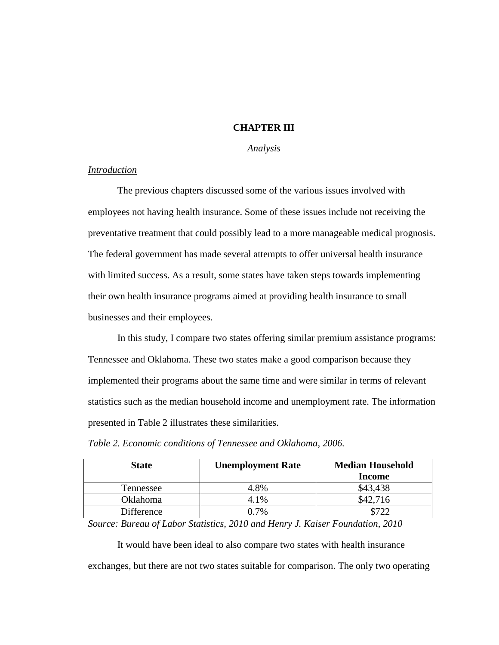## **CHAPTER III**

## *Analysis*

## *Introduction*

The previous chapters discussed some of the various issues involved with employees not having health insurance. Some of these issues include not receiving the preventative treatment that could possibly lead to a more manageable medical prognosis. The federal government has made several attempts to offer universal health insurance with limited success. As a result, some states have taken steps towards implementing their own health insurance programs aimed at providing health insurance to small businesses and their employees.

In this study, I compare two states offering similar premium assistance programs: Tennessee and Oklahoma. These two states make a good comparison because they implemented their programs about the same time and were similar in terms of relevant statistics such as the median household income and unemployment rate. The information presented in Table 2 illustrates these similarities.

| <b>State</b> | <b>Unemployment Rate</b> | <b>Median Household</b><br><b>Income</b> |
|--------------|--------------------------|------------------------------------------|
| Tennessee    | 4.8%                     | \$43,438                                 |
| Oklahoma     | 4.1%                     | \$42,716                                 |
| Difference   | በ 7%                     |                                          |

*Table 2. Economic conditions of Tennessee and Oklahoma, 2006.* 

*Source: Bureau of Labor Statistics, 2010 and Henry J. Kaiser Foundation, 2010*

It would have been ideal to also compare two states with health insurance exchanges, but there are not two states suitable for comparison. The only two operating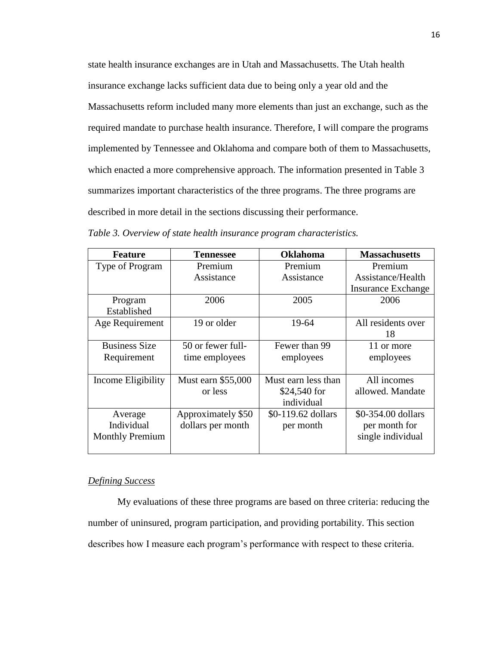state health insurance exchanges are in Utah and Massachusetts. The Utah health insurance exchange lacks sufficient data due to being only a year old and the Massachusetts reform included many more elements than just an exchange, such as the required mandate to purchase health insurance. Therefore, I will compare the programs implemented by Tennessee and Oklahoma and compare both of them to Massachusetts, which enacted a more comprehensive approach. The information presented in Table 3 summarizes important characteristics of the three programs. The three programs are described in more detail in the sections discussing their performance.

| <b>Feature</b>         | <b>Tennessee</b>   | <b>Oklahoma</b>     | <b>Massachusetts</b>      |
|------------------------|--------------------|---------------------|---------------------------|
| Type of Program        | Premium            | Premium             | Premium                   |
|                        | Assistance         | Assistance          | Assistance/Health         |
|                        |                    |                     | <b>Insurance Exchange</b> |
| Program                | 2006               | 2005                | 2006                      |
| Established            |                    |                     |                           |
| Age Requirement        | 19 or older        | 19-64               | All residents over        |
|                        |                    |                     | 18                        |
| <b>Business Size</b>   | 50 or fewer full-  | Fewer than 99       | 11 or more                |
| Requirement            | time employees     | employees           | employees                 |
|                        |                    |                     |                           |
| Income Eligibility     | Must earn \$55,000 | Must earn less than | All incomes               |
|                        | or less            | \$24,540 for        | allowed. Mandate          |
|                        |                    | individual          |                           |
| Average                | Approximately \$50 | \$0-119.62 dollars  | \$0-354.00 dollars        |
| Individual             | dollars per month  | per month           | per month for             |
| <b>Monthly Premium</b> |                    |                     | single individual         |
|                        |                    |                     |                           |

*Table 3. Overview of state health insurance program characteristics.* 

## *Defining Success*

My evaluations of these three programs are based on three criteria: reducing the number of uninsured, program participation, and providing portability. This section describes how I measure each program's performance with respect to these criteria.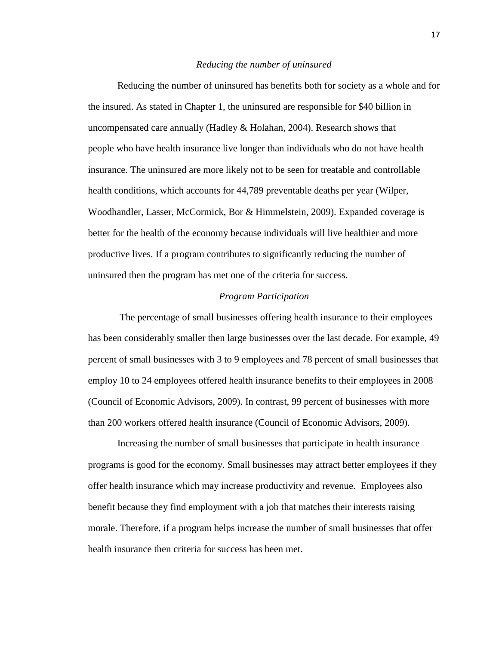#### *Reducing the number of uninsured*

Reducing the number of uninsured has benefits both for society as a whole and for the insured. As stated in Chapter 1, the uninsured are responsible for \$40 billion in uncompensated care annually (Hadley & Holahan, 2004). Research shows that people who have health insurance live longer than individuals who do not have health insurance. The uninsured are more likely not to be seen for treatable and controllable health conditions, which accounts for 44,789 preventable deaths per year (Wilper, Woodhandler, Lasser, McCormick, Bor & Himmelstein, 2009). Expanded coverage is better for the health of the economy because individuals will live healthier and more productive lives. If a program contributes to significantly reducing the number of uninsured then the program has met one of the criteria for success.

## *Program Participation*

The percentage of small businesses offering health insurance to their employees has been considerably smaller then large businesses over the last decade. For example, 49 percent of small businesses with 3 to 9 employees and 78 percent of small businesses that employ 10 to 24 employees offered health insurance benefits to their employees in 2008 (Council of Economic Advisors, 2009). In contrast, 99 percent of businesses with more than 200 workers offered health insurance (Council of Economic Advisors, 2009).

Increasing the number of small businesses that participate in health insurance programs is good for the economy. Small businesses may attract better employees if they offer health insurance which may increase productivity and revenue. Employees also benefit because they find employment with a job that matches their interests raising morale. Therefore, if a program helps increase the number of small businesses that offer health insurance then criteria for success has been met.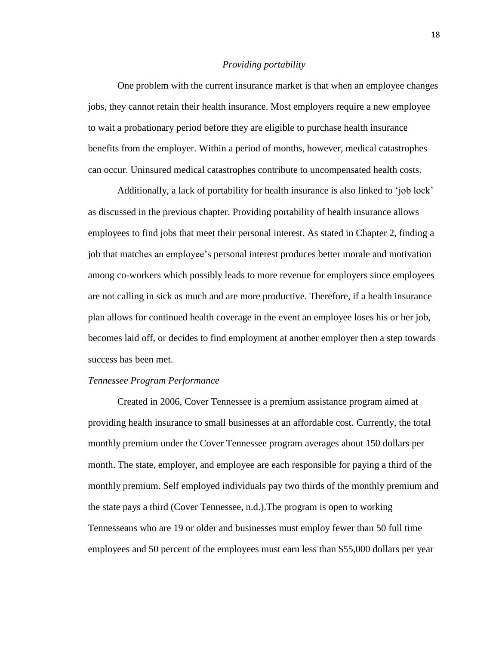#### *Providing portability*

One problem with the current insurance market is that when an employee changes jobs, they cannot retain their health insurance. Most employers require a new employee to wait a probationary period before they are eligible to purchase health insurance benefits from the employer. Within a period of months, however, medical catastrophes can occur. Uninsured medical catastrophes contribute to uncompensated health costs.

Additionally, a lack of portability for health insurance is also linked to 'job lock' as discussed in the previous chapter. Providing portability of health insurance allows employees to find jobs that meet their personal interest. As stated in Chapter 2, finding a job that matches an employee's personal interest produces better morale and motivation among co-workers which possibly leads to more revenue for employers since employees are not calling in sick as much and are more productive. Therefore, if a health insurance plan allows for continued health coverage in the event an employee loses his or her job, becomes laid off, or decides to find employment at another employer then a step towards success has been met.

#### *Tennessee Program Performance*

Created in 2006, Cover Tennessee is a premium assistance program aimed at providing health insurance to small businesses at an affordable cost. Currently, the total monthly premium under the Cover Tennessee program averages about 150 dollars per month. The state, employer, and employee are each responsible for paying a third of the monthly premium. Self employed individuals pay two thirds of the monthly premium and the state pays a third (Cover Tennessee, n.d.).The program is open to working Tennesseans who are 19 or older and businesses must employ fewer than 50 full time employees and 50 percent of the employees must earn less than \$55,000 dollars per year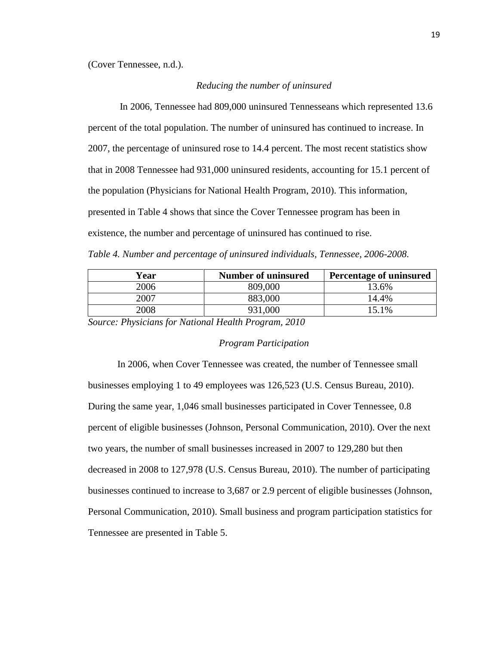(Cover Tennessee, n.d.).

#### *Reducing the number of uninsured*

In 2006, Tennessee had 809,000 uninsured Tennesseans which represented 13.6 percent of the total population. The number of uninsured has continued to increase. In 2007, the percentage of uninsured rose to 14.4 percent. The most recent statistics show that in 2008 Tennessee had 931,000 uninsured residents, accounting for 15.1 percent of the population (Physicians for National Health Program, 2010). This information, presented in Table 4 shows that since the Cover Tennessee program has been in existence, the number and percentage of uninsured has continued to rise. *Table 4. Number and percentage of uninsured individuals, Tennessee, 2006-2008.*

| Year | <b>Number of uninsured</b> | <b>Percentage of uninsured</b> |
|------|----------------------------|--------------------------------|
| 2006 | 809,000                    | 13.6%                          |
| 2007 | 883,000                    | 14.4%                          |
| 2008 | 931,000                    | 15.1%                          |

*Source: Physicians for National Health Program, 2010*

#### *Program Participation*

In 2006, when Cover Tennessee was created, the number of Tennessee small businesses employing 1 to 49 employees was 126,523 (U.S. Census Bureau, 2010). During the same year, 1,046 small businesses participated in Cover Tennessee, 0.8 percent of eligible businesses (Johnson, Personal Communication, 2010). Over the next two years, the number of small businesses increased in 2007 to 129,280 but then decreased in 2008 to 127,978 (U.S. Census Bureau, 2010). The number of participating businesses continued to increase to 3,687 or 2.9 percent of eligible businesses (Johnson, Personal Communication, 2010). Small business and program participation statistics for Tennessee are presented in Table 5.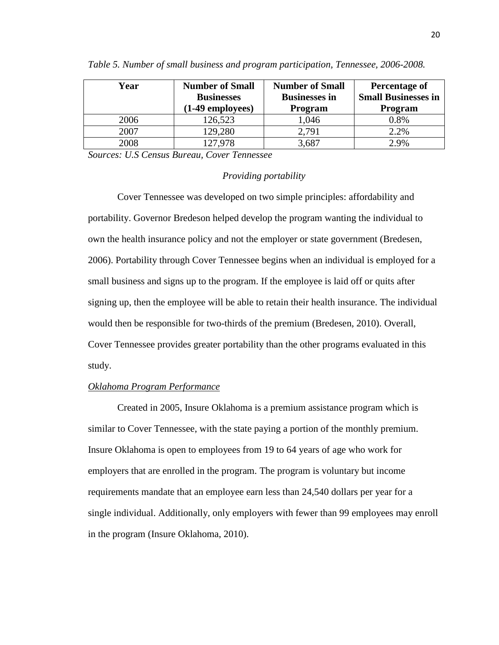| Year | <b>Number of Small</b><br><b>Businesses</b><br>$(1-49$ employees) | <b>Number of Small</b><br><b>Businesses in</b><br><b>Program</b> | Percentage of<br><b>Small Businesses in</b><br><b>Program</b> |
|------|-------------------------------------------------------------------|------------------------------------------------------------------|---------------------------------------------------------------|
| 2006 | 126,523                                                           | 1,046                                                            | 0.8%                                                          |
| 2007 | 129,280                                                           | 2,791                                                            | 2.2%                                                          |
| 2008 | 127,978                                                           | 3,687                                                            | 2.9%                                                          |

*Table 5. Number of small business and program participation, Tennessee, 2006-2008.*

*Sources: U.S Census Bureau, Cover Tennessee*

## *Providing portability*

Cover Tennessee was developed on two simple principles: affordability and portability. Governor Bredeson helped develop the program wanting the individual to own the health insurance policy and not the employer or state government (Bredesen, 2006). Portability through Cover Tennessee begins when an individual is employed for a small business and signs up to the program. If the employee is laid off or quits after signing up, then the employee will be able to retain their health insurance. The individual would then be responsible for two-thirds of the premium (Bredesen, 2010). Overall, Cover Tennessee provides greater portability than the other programs evaluated in this study.

## *Oklahoma Program Performance*

Created in 2005, Insure Oklahoma is a premium assistance program which is similar to Cover Tennessee, with the state paying a portion of the monthly premium. Insure Oklahoma is open to employees from 19 to 64 years of age who work for employers that are enrolled in the program. The program is voluntary but income requirements mandate that an employee earn less than 24,540 dollars per year for a single individual. Additionally, only employers with fewer than 99 employees may enroll in the program (Insure Oklahoma, 2010).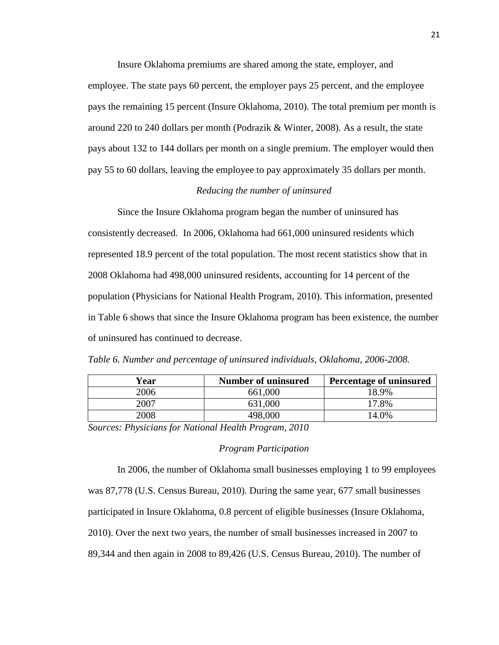Insure Oklahoma premiums are shared among the state, employer, and employee. The state pays 60 percent, the employer pays 25 percent, and the employee pays the remaining 15 percent (Insure Oklahoma, 2010). The total premium per month is around 220 to 240 dollars per month (Podrazik & Winter, 2008). As a result, the state pays about 132 to 144 dollars per month on a single premium. The employer would then pay 55 to 60 dollars, leaving the employee to pay approximately 35 dollars per month.

## *Reducing the number of uninsured*

Since the Insure Oklahoma program began the number of uninsured has consistently decreased. In 2006, Oklahoma had 661,000 uninsured residents which represented 18.9 percent of the total population. The most recent statistics show that in 2008 Oklahoma had 498,000 uninsured residents, accounting for 14 percent of the population (Physicians for National Health Program, 2010). This information, presented in Table 6 shows that since the Insure Oklahoma program has been existence, the number of uninsured has continued to decrease.

*Table 6. Number and percentage of uninsured individuals, Oklahoma, 2006-2008.*

| Year | <b>Number of uninsured</b> | <b>Percentage of uninsured</b> |
|------|----------------------------|--------------------------------|
| 2006 | 661,000                    | 18.9%                          |
| 2007 | 631,000                    | 17.8%                          |
| 2008 | 498,000                    | 14.0%                          |

*Sources: Physicians for National Health Program, 2010*

## *Program Participation*

In 2006, the number of Oklahoma small businesses employing 1 to 99 employees was 87,778 (U.S. Census Bureau, 2010). During the same year, 677 small businesses participated in Insure Oklahoma, 0.8 percent of eligible businesses (Insure Oklahoma, 2010). Over the next two years, the number of small businesses increased in 2007 to 89,344 and then again in 2008 to 89,426 (U.S. Census Bureau, 2010). The number of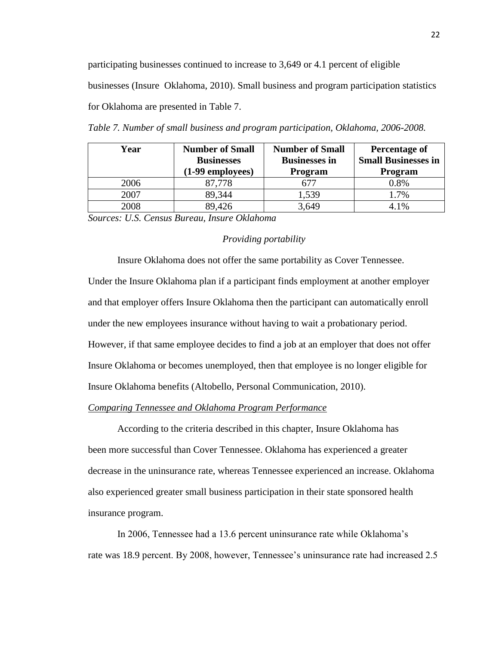participating businesses continued to increase to 3,649 or 4.1 percent of eligible businesses (Insure Oklahoma, 2010). Small business and program participation statistics for Oklahoma are presented in Table 7.

| Year | <b>Number of Small</b><br><b>Businesses</b><br>$(1-99$ employees) | <b>Number of Small</b><br><b>Businesses in</b><br><b>Program</b> | Percentage of<br><b>Small Businesses in</b><br><b>Program</b> |
|------|-------------------------------------------------------------------|------------------------------------------------------------------|---------------------------------------------------------------|
| 2006 | 87,778                                                            | 677                                                              | 0.8%                                                          |
| 2007 | 89,344                                                            | 1,539                                                            | 1.7%                                                          |
| 2008 | 89,426                                                            | 3,649                                                            | 4.1%                                                          |

*Table 7. Number of small business and program participation, Oklahoma, 2006-2008.*

*Sources: U.S. Census Bureau, Insure Oklahoma*

## *Providing portability*

Insure Oklahoma does not offer the same portability as Cover Tennessee. Under the Insure Oklahoma plan if a participant finds employment at another employer and that employer offers Insure Oklahoma then the participant can automatically enroll under the new employees insurance without having to wait a probationary period. However, if that same employee decides to find a job at an employer that does not offer Insure Oklahoma or becomes unemployed, then that employee is no longer eligible for Insure Oklahoma benefits (Altobello, Personal Communication, 2010).

#### *Comparing Tennessee and Oklahoma Program Performance*

According to the criteria described in this chapter, Insure Oklahoma has been more successful than Cover Tennessee. Oklahoma has experienced a greater decrease in the uninsurance rate, whereas Tennessee experienced an increase. Oklahoma also experienced greater small business participation in their state sponsored health insurance program.

In 2006, Tennessee had a 13.6 percent uninsurance rate while Oklahoma's rate was 18.9 percent. By 2008, however, Tennessee's uninsurance rate had increased 2.5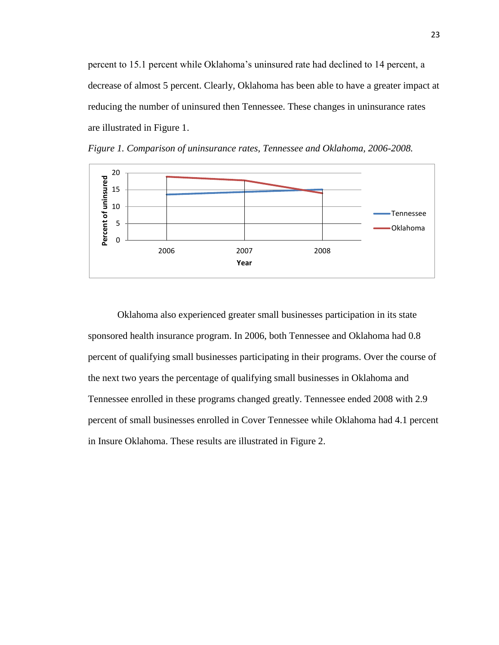percent to 15.1 percent while Oklahoma's uninsured rate had declined to 14 percent, a decrease of almost 5 percent. Clearly, Oklahoma has been able to have a greater impact at reducing the number of uninsured then Tennessee. These changes in uninsurance rates are illustrated in Figure 1.



*Figure 1. Comparison of uninsurance rates, Tennessee and Oklahoma, 2006-2008.*

Oklahoma also experienced greater small businesses participation in its state sponsored health insurance program. In 2006, both Tennessee and Oklahoma had 0.8 percent of qualifying small businesses participating in their programs. Over the course of the next two years the percentage of qualifying small businesses in Oklahoma and Tennessee enrolled in these programs changed greatly. Tennessee ended 2008 with 2.9 percent of small businesses enrolled in Cover Tennessee while Oklahoma had 4.1 percent in Insure Oklahoma. These results are illustrated in Figure 2.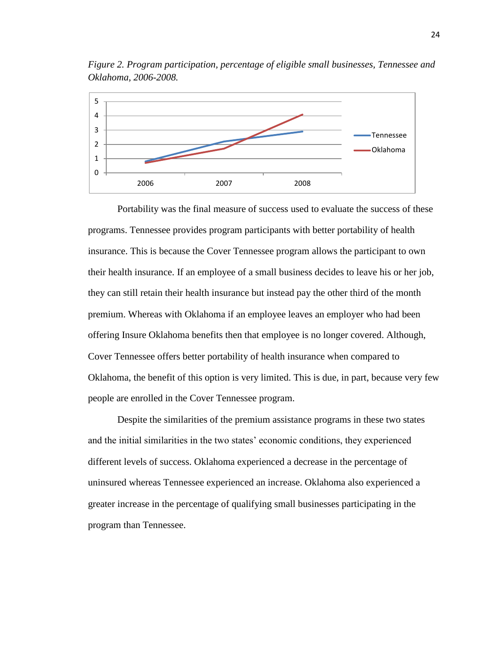

*Figure 2. Program participation, percentage of eligible small businesses, Tennessee and Oklahoma, 2006-2008.*

Portability was the final measure of success used to evaluate the success of these programs. Tennessee provides program participants with better portability of health insurance. This is because the Cover Tennessee program allows the participant to own their health insurance. If an employee of a small business decides to leave his or her job, they can still retain their health insurance but instead pay the other third of the month premium. Whereas with Oklahoma if an employee leaves an employer who had been offering Insure Oklahoma benefits then that employee is no longer covered. Although, Cover Tennessee offers better portability of health insurance when compared to Oklahoma, the benefit of this option is very limited. This is due, in part, because very few people are enrolled in the Cover Tennessee program.

Despite the similarities of the premium assistance programs in these two states and the initial similarities in the two states' economic conditions, they experienced different levels of success. Oklahoma experienced a decrease in the percentage of uninsured whereas Tennessee experienced an increase. Oklahoma also experienced a greater increase in the percentage of qualifying small businesses participating in the program than Tennessee.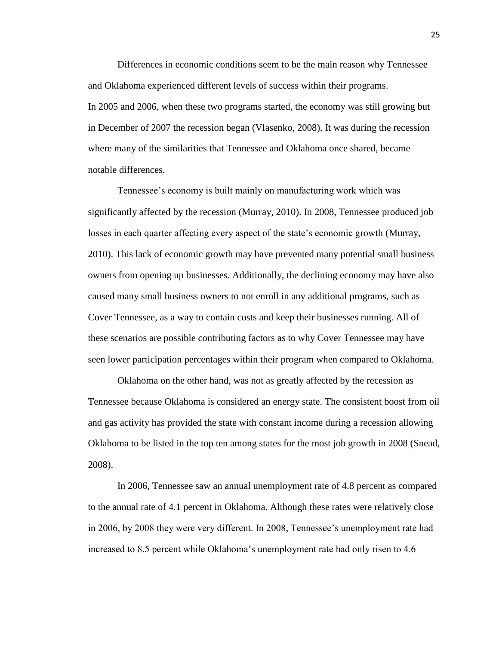Differences in economic conditions seem to be the main reason why Tennessee and Oklahoma experienced different levels of success within their programs. In 2005 and 2006, when these two programs started, the economy was still growing but in December of 2007 the recession began (Vlasenko, 2008). It was during the recession where many of the similarities that Tennessee and Oklahoma once shared, became notable differences.

Tennessee's economy is built mainly on manufacturing work which was significantly affected by the recession (Murray, 2010). In 2008, Tennessee produced job losses in each quarter affecting every aspect of the state's economic growth (Murray, 2010). This lack of economic growth may have prevented many potential small business owners from opening up businesses. Additionally, the declining economy may have also caused many small business owners to not enroll in any additional programs, such as Cover Tennessee, as a way to contain costs and keep their businesses running. All of these scenarios are possible contributing factors as to why Cover Tennessee may have seen lower participation percentages within their program when compared to Oklahoma.

Oklahoma on the other hand, was not as greatly affected by the recession as Tennessee because Oklahoma is considered an energy state. The consistent boost from oil and gas activity has provided the state with constant income during a recession allowing Oklahoma to be listed in the top ten among states for the most job growth in 2008 (Snead, 2008).

In 2006, Tennessee saw an annual unemployment rate of 4.8 percent as compared to the annual rate of 4.1 percent in Oklahoma. Although these rates were relatively close in 2006, by 2008 they were very different. In 2008, Tennessee's unemployment rate had increased to 8.5 percent while Oklahoma's unemployment rate had only risen to 4.6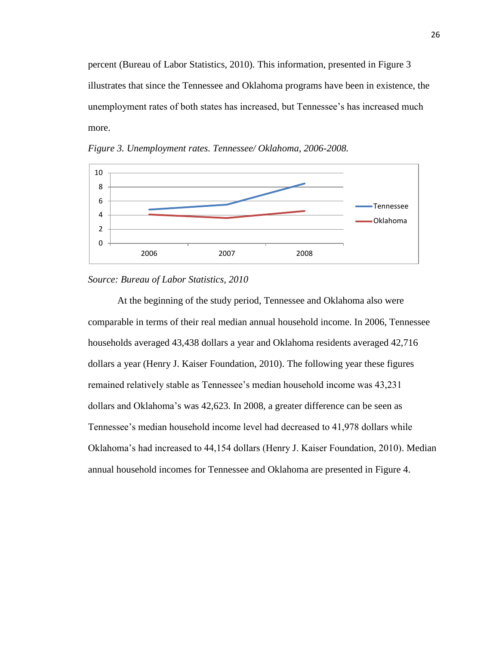percent (Bureau of Labor Statistics, 2010). This information, presented in Figure 3 illustrates that since the Tennessee and Oklahoma programs have been in existence, the unemployment rates of both states has increased, but Tennessee's has increased much more.



*Figure 3. Unemployment rates. Tennessee/ Oklahoma, 2006-2008.*

## *Source: Bureau of Labor Statistics, 2010*

At the beginning of the study period, Tennessee and Oklahoma also were comparable in terms of their real median annual household income. In 2006, Tennessee households averaged 43,438 dollars a year and Oklahoma residents averaged 42,716 dollars a year (Henry J. Kaiser Foundation, 2010). The following year these figures remained relatively stable as Tennessee's median household income was 43,231 dollars and Oklahoma's was 42,623. In 2008, a greater difference can be seen as Tennessee's median household income level had decreased to 41,978 dollars while Oklahoma's had increased to 44,154 dollars (Henry J. Kaiser Foundation, 2010). Median annual household incomes for Tennessee and Oklahoma are presented in Figure 4.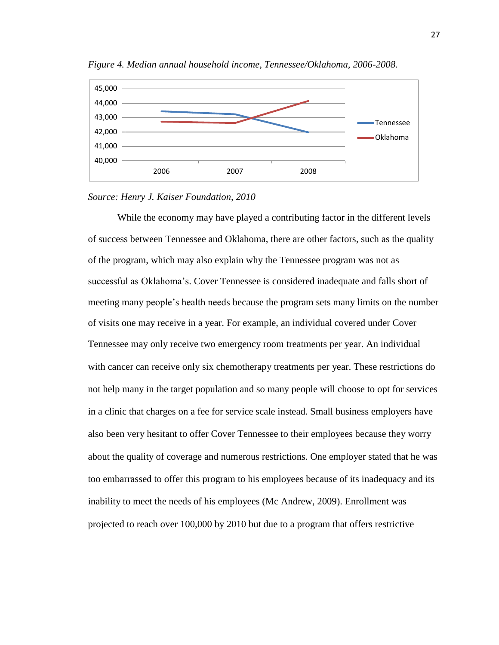

*Figure 4. Median annual household income, Tennessee/Oklahoma, 2006-2008.*



While the economy may have played a contributing factor in the different levels of success between Tennessee and Oklahoma, there are other factors, such as the quality of the program, which may also explain why the Tennessee program was not as successful as Oklahoma's. Cover Tennessee is considered inadequate and falls short of meeting many people's health needs because the program sets many limits on the number of visits one may receive in a year. For example, an individual covered under Cover Tennessee may only receive two emergency room treatments per year. An individual with cancer can receive only six chemotherapy treatments per year. These restrictions do not help many in the target population and so many people will choose to opt for services in a clinic that charges on a fee for service scale instead. Small business employers have also been very hesitant to offer Cover Tennessee to their employees because they worry about the quality of coverage and numerous restrictions. One employer stated that he was too embarrassed to offer this program to his employees because of its inadequacy and its inability to meet the needs of his employees (Mc Andrew, 2009). Enrollment was projected to reach over 100,000 by 2010 but due to a program that offers restrictive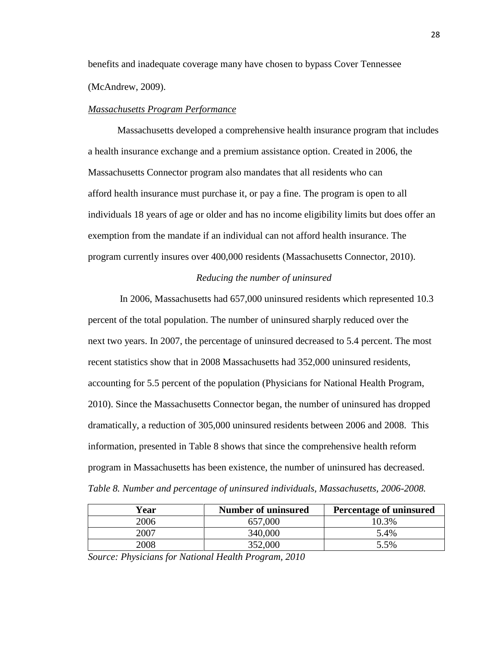benefits and inadequate coverage many have chosen to bypass Cover Tennessee (McAndrew, 2009).

#### *Massachusetts Program Performance*

Massachusetts developed a comprehensive health insurance program that includes a health insurance exchange and a premium assistance option. Created in 2006, the Massachusetts Connector program also mandates that all residents who can afford health insurance must purchase it, or pay a fine. The program is open to all individuals 18 years of age or older and has no income eligibility limits but does offer an exemption from the mandate if an individual can not afford health insurance. The program currently insures over 400,000 residents (Massachusetts Connector, 2010).

## *Reducing the number of uninsured*

In 2006, Massachusetts had 657,000 uninsured residents which represented 10.3 percent of the total population. The number of uninsured sharply reduced over the next two years. In 2007, the percentage of uninsured decreased to 5.4 percent. The most recent statistics show that in 2008 Massachusetts had 352,000 uninsured residents, accounting for 5.5 percent of the population (Physicians for National Health Program, 2010). Since the Massachusetts Connector began, the number of uninsured has dropped dramatically, a reduction of 305,000 uninsured residents between 2006 and 2008. This information, presented in Table 8 shows that since the comprehensive health reform program in Massachusetts has been existence, the number of uninsured has decreased. *Table 8. Number and percentage of uninsured individuals, Massachusetts, 2006-2008.*

| Year | <b>Number of uninsured</b> | <b>Percentage of uninsured</b> |
|------|----------------------------|--------------------------------|
| 2006 | 657,000                    | 10.3%                          |
| 2007 | 340,000                    | 5.4%                           |
| 2008 | 352,000                    | 5.5%                           |

*Source: Physicians for National Health Program, 2010*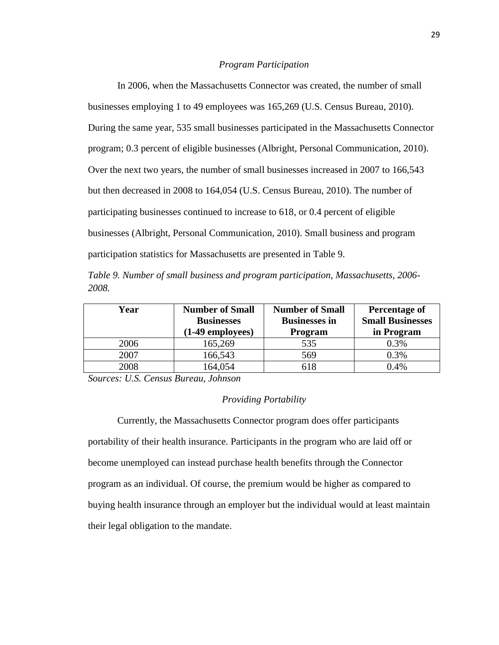#### *Program Participation*

In 2006, when the Massachusetts Connector was created, the number of small businesses employing 1 to 49 employees was 165,269 (U.S. Census Bureau, 2010). During the same year, 535 small businesses participated in the Massachusetts Connector program; 0.3 percent of eligible businesses (Albright, Personal Communication, 2010). Over the next two years, the number of small businesses increased in 2007 to 166,543 but then decreased in 2008 to 164,054 (U.S. Census Bureau, 2010). The number of participating businesses continued to increase to 618, or 0.4 percent of eligible businesses (Albright, Personal Communication, 2010). Small business and program participation statistics for Massachusetts are presented in Table 9.

|       |  |  |  | Table 9. Number of small business and program participation, Massachusetts, 2006- |  |
|-------|--|--|--|-----------------------------------------------------------------------------------|--|
| 2008. |  |  |  |                                                                                   |  |

| Year | <b>Number of Small</b>                | <b>Number of Small</b> | Percentage of                         |  |
|------|---------------------------------------|------------------------|---------------------------------------|--|
|      | <b>Businesses</b><br>(1-49 employees) | <b>Businesses in</b>   | <b>Small Businesses</b><br>in Program |  |
|      |                                       | <b>Program</b>         |                                       |  |
| 2006 | 165,269                               | 535                    | 0.3%                                  |  |
| 2007 | 166,543                               | 569                    | 0.3%                                  |  |
| 2008 | 164,054                               | 618                    | 0.4%                                  |  |

*Sources: U.S. Census Bureau, Johnson*

## *Providing Portability*

Currently, the Massachusetts Connector program does offer participants portability of their health insurance. Participants in the program who are laid off or become unemployed can instead purchase health benefits through the Connector program as an individual. Of course, the premium would be higher as compared to buying health insurance through an employer but the individual would at least maintain their legal obligation to the mandate.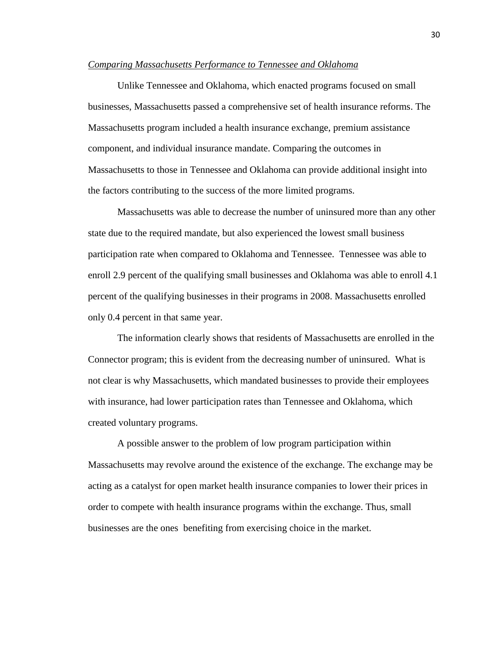## *Comparing Massachusetts Performance to Tennessee and Oklahoma*

Unlike Tennessee and Oklahoma, which enacted programs focused on small businesses, Massachusetts passed a comprehensive set of health insurance reforms. The Massachusetts program included a health insurance exchange, premium assistance component, and individual insurance mandate. Comparing the outcomes in Massachusetts to those in Tennessee and Oklahoma can provide additional insight into the factors contributing to the success of the more limited programs.

Massachusetts was able to decrease the number of uninsured more than any other state due to the required mandate, but also experienced the lowest small business participation rate when compared to Oklahoma and Tennessee. Tennessee was able to enroll 2.9 percent of the qualifying small businesses and Oklahoma was able to enroll 4.1 percent of the qualifying businesses in their programs in 2008. Massachusetts enrolled only 0.4 percent in that same year.

The information clearly shows that residents of Massachusetts are enrolled in the Connector program; this is evident from the decreasing number of uninsured. What is not clear is why Massachusetts, which mandated businesses to provide their employees with insurance, had lower participation rates than Tennessee and Oklahoma, which created voluntary programs.

A possible answer to the problem of low program participation within Massachusetts may revolve around the existence of the exchange. The exchange may be acting as a catalyst for open market health insurance companies to lower their prices in order to compete with health insurance programs within the exchange. Thus, small businesses are the ones benefiting from exercising choice in the market.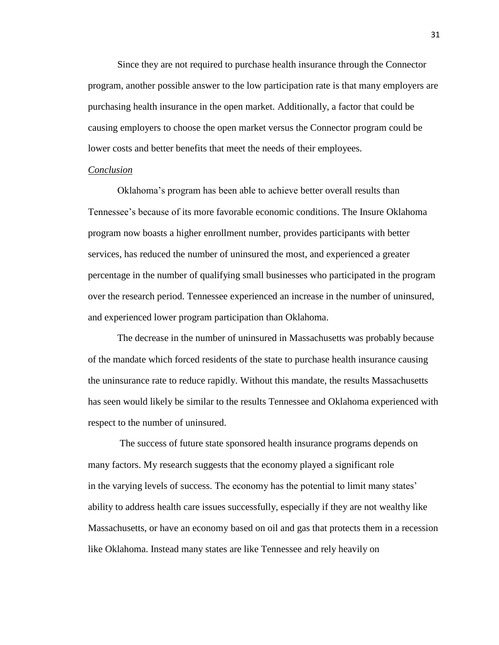Since they are not required to purchase health insurance through the Connector program, another possible answer to the low participation rate is that many employers are purchasing health insurance in the open market. Additionally, a factor that could be causing employers to choose the open market versus the Connector program could be lower costs and better benefits that meet the needs of their employees.

#### *Conclusion*

Oklahoma's program has been able to achieve better overall results than Tennessee's because of its more favorable economic conditions. The Insure Oklahoma program now boasts a higher enrollment number, provides participants with better services, has reduced the number of uninsured the most, and experienced a greater percentage in the number of qualifying small businesses who participated in the program over the research period. Tennessee experienced an increase in the number of uninsured, and experienced lower program participation than Oklahoma.

The decrease in the number of uninsured in Massachusetts was probably because of the mandate which forced residents of the state to purchase health insurance causing the uninsurance rate to reduce rapidly. Without this mandate, the results Massachusetts has seen would likely be similar to the results Tennessee and Oklahoma experienced with respect to the number of uninsured.

The success of future state sponsored health insurance programs depends on many factors. My research suggests that the economy played a significant role in the varying levels of success. The economy has the potential to limit many states' ability to address health care issues successfully, especially if they are not wealthy like Massachusetts, or have an economy based on oil and gas that protects them in a recession like Oklahoma. Instead many states are like Tennessee and rely heavily on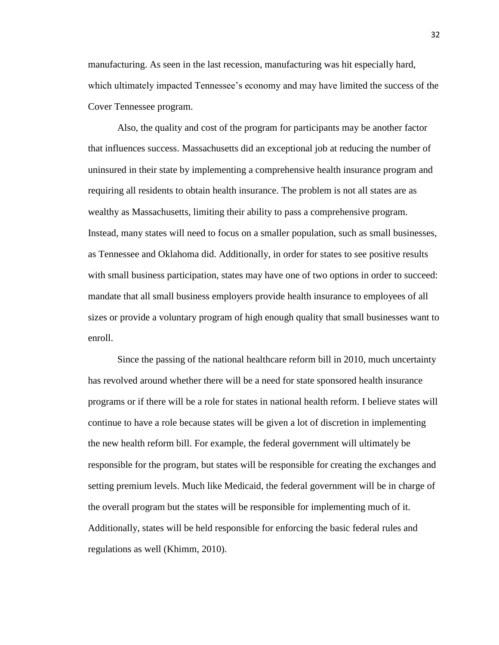manufacturing. As seen in the last recession, manufacturing was hit especially hard, which ultimately impacted Tennessee's economy and may have limited the success of the Cover Tennessee program.

Also, the quality and cost of the program for participants may be another factor that influences success. Massachusetts did an exceptional job at reducing the number of uninsured in their state by implementing a comprehensive health insurance program and requiring all residents to obtain health insurance. The problem is not all states are as wealthy as Massachusetts, limiting their ability to pass a comprehensive program. Instead, many states will need to focus on a smaller population, such as small businesses, as Tennessee and Oklahoma did. Additionally, in order for states to see positive results with small business participation, states may have one of two options in order to succeed: mandate that all small business employers provide health insurance to employees of all sizes or provide a voluntary program of high enough quality that small businesses want to enroll.

Since the passing of the national healthcare reform bill in 2010, much uncertainty has revolved around whether there will be a need for state sponsored health insurance programs or if there will be a role for states in national health reform. I believe states will continue to have a role because states will be given a lot of discretion in implementing the new health reform bill. For example, the federal government will ultimately be responsible for the program, but states will be responsible for creating the exchanges and setting premium levels. Much like Medicaid, the federal government will be in charge of the overall program but the states will be responsible for implementing much of it. Additionally, states will be held responsible for enforcing the basic federal rules and regulations as well (Khimm, 2010).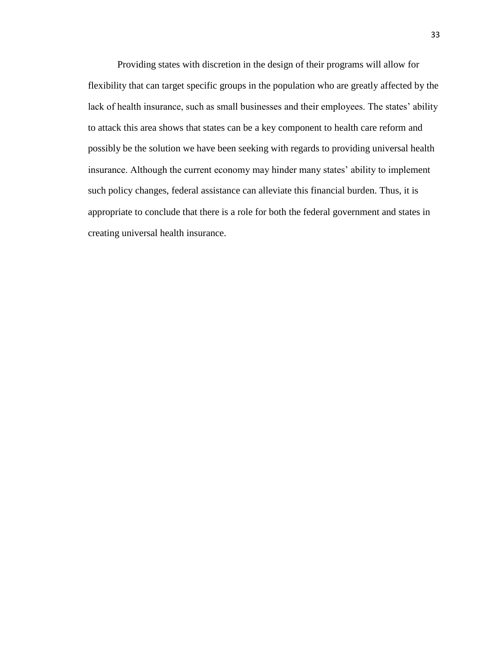Providing states with discretion in the design of their programs will allow for flexibility that can target specific groups in the population who are greatly affected by the lack of health insurance, such as small businesses and their employees. The states' ability to attack this area shows that states can be a key component to health care reform and possibly be the solution we have been seeking with regards to providing universal health insurance. Although the current economy may hinder many states' ability to implement such policy changes, federal assistance can alleviate this financial burden. Thus, it is appropriate to conclude that there is a role for both the federal government and states in creating universal health insurance.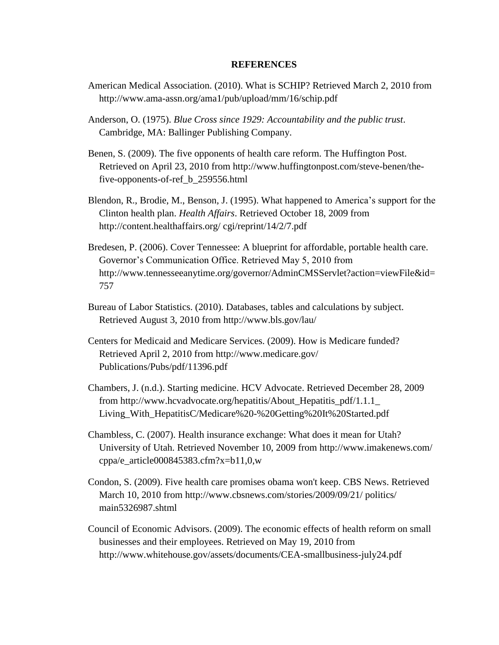## **REFERENCES**

- American Medical Association. (2010). What is SCHIP? Retrieved March 2, 2010 from http://www.ama-assn.org/ama1/pub/upload/mm/16/schip.pdf
- Anderson, O. (1975). *Blue Cross since 1929: Accountability and the public trust*. Cambridge, MA: Ballinger Publishing Company.
- Benen, S. (2009). The five opponents of health care reform. The Huffington Post. Retrieved on April 23, 2010 from http://www.huffingtonpost.com/steve-benen/thefive-opponents-of-ref\_b\_259556.html
- Blendon, R., Brodie, M., Benson, J. (1995). What happened to America's support for the Clinton health plan. *Health Affairs*. Retrieved October 18, 2009 from http://content.healthaffairs.org/ cgi/reprint/14/2/7.pdf
- Bredesen, P. (2006). Cover Tennessee: A blueprint for affordable, portable health care. Governor's Communication Office. Retrieved May 5, 2010 from http://www.tennesseeanytime.org/governor/AdminCMSServlet?action=viewFile&id= 757
- Bureau of Labor Statistics. (2010). Databases, tables and calculations by subject. Retrieved August 3, 2010 from http://www.bls.gov/lau/
- Centers for Medicaid and Medicare Services. (2009). How is Medicare funded? Retrieved April 2, 2010 from http://www.medicare.gov/ Publications/Pubs/pdf/11396.pdf
- Chambers, J. (n.d.). Starting medicine. HCV Advocate. Retrieved December 28, 2009 from http://www.hcvadvocate.org/hepatitis/About\_Hepatitis\_pdf/1.1.1\_ Living\_With\_HepatitisC/Medicare%20-%20Getting%20It%20Started.pdf
- Chambless, C. (2007). Health insurance exchange: What does it mean for Utah? University of Utah. Retrieved November 10, 2009 from http://www.imakenews.com/ cppa/e\_article000845383.cfm?x=b11,0,w
- Condon, S. (2009). Five health care promises obama won't keep. CBS News. Retrieved March 10, 2010 from http://www.cbsnews.com/stories/2009/09/21/ politics/ main5326987.shtml
- Council of Economic Advisors. (2009). The economic effects of health reform on small businesses and their employees. Retrieved on May 19, 2010 from http://www.whitehouse.gov/assets/documents/CEA-smallbusiness-july24.pdf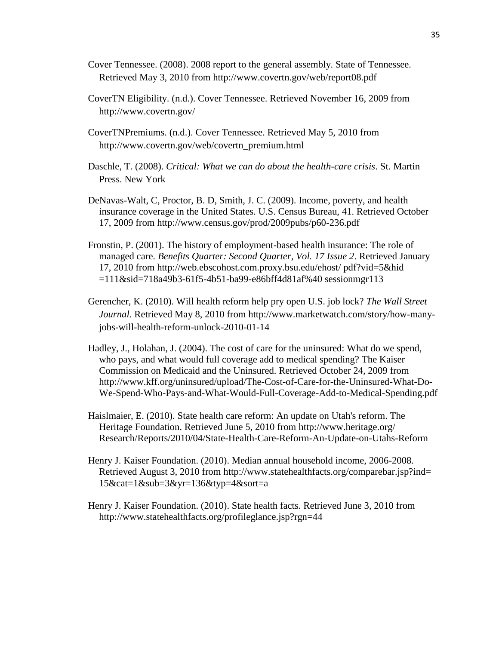- Cover Tennessee. (2008). 2008 report to the general assembly. State of Tennessee. Retrieved May 3, 2010 from http://www.covertn.gov/web/report08.pdf
- CoverTN Eligibility. (n.d.). Cover Tennessee. Retrieved November 16, 2009 from http://www.covertn.gov/
- CoverTNPremiums. (n.d.). Cover Tennessee. Retrieved May 5, 2010 from http://www.covertn.gov/web/covertn\_premium.html
- Daschle, T. (2008). *Critical: What we can do about the health-care crisis*. St. Martin Press. New York
- DeNavas-Walt, C, Proctor, B. D, Smith, J. C. (2009). Income, poverty, and health insurance coverage in the United States. U.S. Census Bureau, 41. Retrieved October 17, 2009 from http://www.census.gov/prod/2009pubs/p60-236.pdf
- Fronstin, P. (2001). The history of employment-based health insurance: The role of managed care. *Benefits Quarter: Second Quarter, Vol. 17 Issue 2*. Retrieved January 17, 2010 from http://web.ebscohost.com.proxy.bsu.edu/ehost/ pdf?vid=5&hid =111&sid=718a49b3-61f5-4b51-ba99-e86bff4d81af%40 sessionmgr113
- Gerencher, K. (2010). Will health reform help pry open U.S. job lock? *The Wall Street Journal.* Retrieved May 8, 2010 from http://www.marketwatch.com/story/how-manyjobs-will-health-reform-unlock-2010-01-14
- Hadley, J., Holahan, J. (2004). The cost of care for the uninsured: What do we spend, who pays, and what would full coverage add to medical spending? The Kaiser Commission on Medicaid and the Uninsured. Retrieved October 24, 2009 from http://www.kff.org/uninsured/upload/The-Cost-of-Care-for-the-Uninsured-What-Do-We-Spend-Who-Pays-and-What-Would-Full-Coverage-Add-to-Medical-Spending.pdf
- [Haislmaier,](http://www.heritage.org/About/Staff/H/Edmund-Haislmaier) E. (2010). State health care reform: An update on Utah's reform. The Heritage Foundation. Retrieved June 5, 2010 from http://www.heritage.org/ Research/Reports/2010/04/State-Health-Care-Reform-An-Update-on-Utahs-Reform
- Henry J. Kaiser Foundation. (2010). Median annual household income, 2006-2008. Retrieved August 3, 2010 from http://www.statehealthfacts.org/comparebar.jsp?ind= 15&cat=1&sub=3&yr=136&typ=4&sort=a
- Henry J. Kaiser Foundation. (2010). State health facts. Retrieved June 3, 2010 from http://www.statehealthfacts.org/profileglance.jsp?rgn=44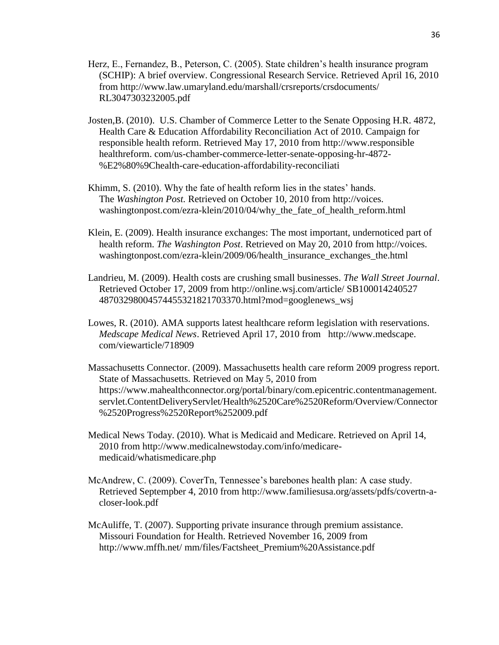- Herz, E., Fernandez, B., Peterson, C. (2005). State children's health insurance program (SCHIP): A brief overview. Congressional Research Service. Retrieved April 16, 2010 from http://www.law.umaryland.edu/marshall/crsreports/crsdocuments/ RL3047303232005.pdf
- Josten,B. (2010). U.S. Chamber of Commerce Letter to the Senate Opposing H.R. 4872, Health Care & Education Affordability Reconciliation Act of 2010. Campaign for responsible health reform. Retrieved May 17, 2010 from http://www.responsible healthreform. com/us-chamber-commerce-letter-senate-opposing-hr-4872- %E2%80%9Chealth-care-education-affordability-reconciliati
- Khimm, S. (2010). Why the fate of health reform lies in the states' hands. The *Washington Post.* Retrieved on October 10, 2010 from http://voices. washingtonpost.com/ezra-klein/2010/04/why\_the\_fate\_of\_health\_reform.html
- Klein, E. (2009). Health insurance exchanges: The most important, undernoticed part of health reform. *The Washington Post*. Retrieved on May 20, 2010 from http://voices. washingtonpost.com/ezra-klein/2009/06/health\_insurance\_exchanges\_the.html
- Landrieu, M. (2009). Health costs are crushing small businesses. *The Wall Street Journal*. Retrieved October 17, 2009 from http://online.wsj.com/article/ SB100014240527 48703298004574455321821703370.html?mod=googlenews\_wsj
- Lowes, R. (2010). AMA supports latest healthcare reform legislation with reservations. *Medscape Medical News*. Retrieved April 17, 2010 from http://www.medscape. com/viewarticle/718909
- Massachusetts Connector. (2009). Massachusetts health care reform 2009 progress report. State of Massachusetts. Retrieved on May 5, 2010 from https://www.mahealthconnector.org/portal/binary/com.epicentric.contentmanagement. servlet.ContentDeliveryServlet/Health%2520Care%2520Reform/Overview/Connector %2520Progress%2520Report%252009.pdf
- Medical News Today. (2010). What is Medicaid and Medicare. Retrieved on April 14, 2010 from http://www.medicalnewstoday.com/info/medicaremedicaid/whatismedicare.php
- McAndrew, C. (2009). CoverTn, Tennessee's barebones health plan: A case study. Retrieved Septempber 4, 2010 from http://www.familiesusa.org/assets/pdfs/covertn-acloser-look.pdf
- McAuliffe, T. (2007). Supporting private insurance through premium assistance. Missouri Foundation for Health. Retrieved November 16, 2009 from http://www.mffh.net/ mm/files/Factsheet\_Premium%20Assistance.pdf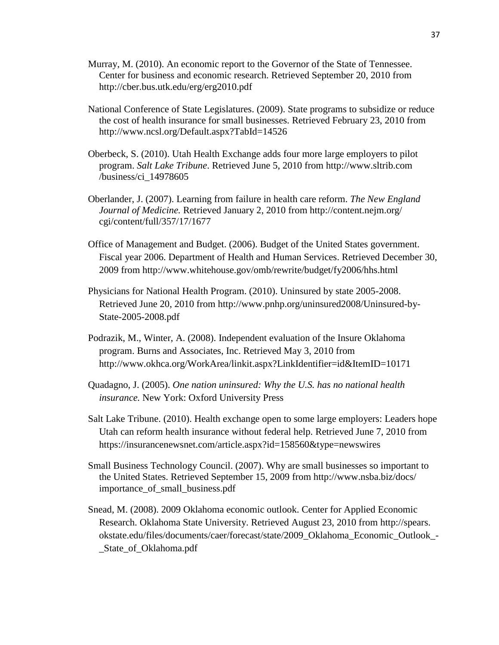- Murray, M. (2010). An economic report to the Governor of the State of Tennessee. Center for business and economic research. Retrieved September 20, 2010 from http://cber.bus.utk.edu/erg/erg2010.pdf
- National Conference of State Legislatures. (2009). State programs to subsidize or reduce the cost of health insurance for small businesses. Retrieved February 23, 2010 from http://www.ncsl.org/Default.aspx?TabId=14526
- Oberbeck, S. (2010). Utah Health Exchange adds four more large employers to pilot program. *Salt Lake Tribune*. Retrieved June 5, 2010 from http://www.sltrib.com /business/ci\_14978605
- Oberlander, J. (2007). Learning from failure in health care reform. *The New England Journal of Medicine.* Retrieved January 2, 2010 from http://content.nejm.org/ cgi/content/full/357/17/1677
- Office of Management and Budget. (2006). Budget of the United States government. Fiscal year 2006. Department of Health and Human Services. Retrieved December 30, 2009 from http://www.whitehouse.gov/omb/rewrite/budget/fy2006/hhs.html
- Physicians for National Health Program. (2010). Uninsured by state 2005-2008. Retrieved June 20, 2010 from http://www.pnhp.org/uninsured2008/Uninsured-by-State-2005-2008.pdf
- Podrazik, M., Winter, A. (2008). Independent evaluation of the Insure Oklahoma program. Burns and Associates, Inc. Retrieved May 3, 2010 from <http://www.okhca.org/WorkArea/linkit.aspx?LinkIdentifier=id&ItemID=10171>
- Quadagno, J. (2005). *One nation uninsured: Why the U.S. has no national health insurance.* New York: Oxford University Press
- Salt Lake Tribune. (2010). Health exchange open to some large employers: Leaders hope Utah can reform health insurance without federal help. Retrieved June 7, 2010 from https://insurancenewsnet.com/article.aspx?id=158560&type=newswires
- Small Business Technology Council. (2007). Why are small businesses so important to the United States. Retrieved September 15, 2009 from http://www.nsba.biz/docs/ importance\_of\_small\_business.pdf
- Snead, M. (2008). 2009 Oklahoma economic outlook. Center for Applied Economic Research. Oklahoma State University. Retrieved August 23, 2010 from http://spears. okstate.edu/files/documents/caer/forecast/state/2009\_Oklahoma\_Economic\_Outlook\_- \_State\_of\_Oklahoma.pdf